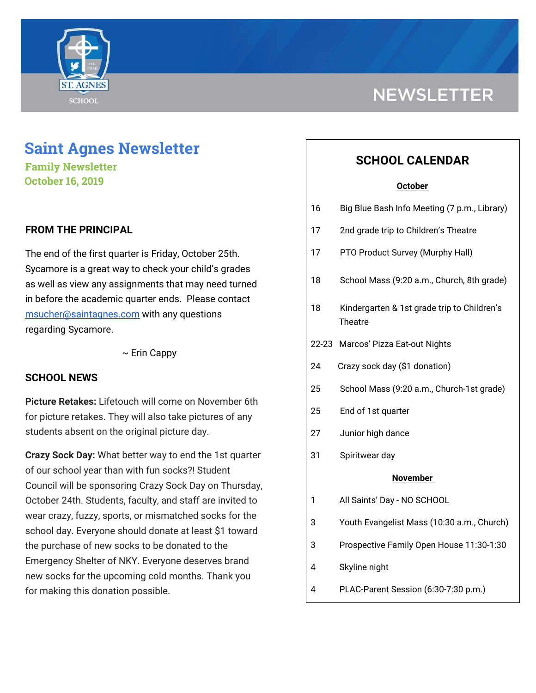

# **Saint Agnes Newsletter**

**Family Newsletter October 16, 2019**

## **FROM THE PRINCIPAL**

The end of the first quarter is Friday, October 25th. Sycamore is a great way to check your child's grades as well as view any assignments that may need turned in before the academic quarter ends. Please contact [msucher@saintagnes.com](mailto:msucher@saintagnes.com) with any questions regarding Sycamore.

 $\sim$  Erin Cappy

## **SCHOOL NEWS**

**Picture Retakes:** Lifetouch will come on November 6th for picture retakes. They will also take pictures of any students absent on the original picture day.

**Crazy Sock Day:** What better way to end the 1st quarter of our school year than with fun socks?! Student Council will be sponsoring Crazy Sock Day on Thursday, October 24th. Students, faculty, and staff are invited to wear crazy, fuzzy, sports, or mismatched socks for the school day. Everyone should donate at least \$1 toward the purchase of new socks to be donated to the Emergency Shelter of NKY. Everyone deserves brand new socks for the upcoming cold months. Thank you for making this donation possible.

# **NEWSLETTER**

## **SCHOOL CALENDAR**

#### **October**

| 16              | Big Blue Bash Info Meeting (7 p.m., Library)                  |  |
|-----------------|---------------------------------------------------------------|--|
| 17              | 2nd grade trip to Children's Theatre                          |  |
| 17              | PTO Product Survey (Murphy Hall)                              |  |
| 18              | School Mass (9:20 a.m., Church, 8th grade)                    |  |
| 18              | Kindergarten & 1st grade trip to Children's<br><b>Theatre</b> |  |
| $22 - 23$       | Marcos' Pizza Eat-out Nights                                  |  |
| 24              | Crazy sock day (\$1 donation)                                 |  |
| 25              | School Mass (9:20 a.m., Church-1st grade)                     |  |
| 25              | End of 1st quarter                                            |  |
| 27              | Junior high dance                                             |  |
| 31              | Spiritwear day                                                |  |
| <b>November</b> |                                                               |  |
| 1               | All Saints' Day - NO SCHOOL                                   |  |
| 3               | Youth Evangelist Mass (10:30 a.m., Church)                    |  |
| 3               | Prospective Family Open House 11:30-1:30                      |  |
| 4               | Skyline night                                                 |  |
| 4               | PLAC-Parent Session (6:30-7:30 p.m.)                          |  |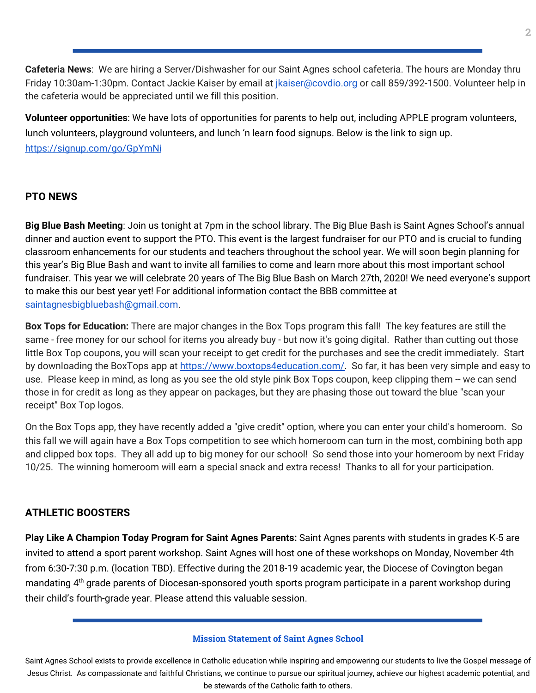**Cafeteria News**: We are hiring a Server/Dishwasher for our Saint Agnes school cafeteria. The hours are Monday thru Friday 10:30am-1:30pm. Contact Jackie Kaiser by email at *jkaiser@covdio.org* or call 859/392-1500. Volunteer help in the cafeteria would be appreciated until we fill this position.

**Volunteer opportunities**: We have lots of opportunities for parents to help out, including APPLE program volunteers, lunch volunteers, playground volunteers, and lunch 'n learn food signups. Below is the link to sign up. <https://signup.com/go/GpYmNi>

#### **PTO NEWS**

**Big Blue Bash Meeting**: Join us tonight at 7pm in the school library. The Big Blue Bash is Saint Agnes School's annual dinner and auction event to support the PTO. This event is the largest fundraiser for our PTO and is crucial to funding classroom enhancements for our students and teachers throughout the school year. We will soon begin planning for this year's Big Blue Bash and want to invite all families to come and learn more about this most important school fundraiser. This year we will celebrate 20 years of The Big Blue Bash on March 27th, 2020! We need everyone's support to make this our best year yet! For additional information contact the BBB committee at saintagnesbigbluebash@gmail.com.

**Box Tops for Education:** There are major changes in the Box Tops program this fall! The key features are still the same - free money for our school for items you already buy - but now it's going digital. Rather than cutting out those little Box Top coupons, you will scan your receipt to get credit for the purchases and see the credit immediately. Start by downloading the BoxTops app at [https://www.boxtops4education.com/.](https://www.boxtops4education.com/) So far, it has been very simple and easy to use. Please keep in mind, as long as you see the old style pink Box Tops coupon, keep clipping them -- we can send those in for credit as long as they appear on packages, but they are phasing those out toward the blue "scan your receipt" Box Top logos.

On the Box Tops app, they have recently added a "give credit" option, where you can enter your child's homeroom. So this fall we will again have a Box Tops competition to see which homeroom can turn in the most, combining both app and clipped box tops. They all add up to big money for our school! So send those into your homeroom by next Friday 10/25. The winning homeroom will earn a special snack and extra recess! Thanks to all for your participation.

## **ATHLETIC BOOSTERS**

**Play Like A Champion Today Program for Saint Agnes Parents:** Saint Agnes parents with students in grades K-5 are invited to attend a sport parent workshop. Saint Agnes will host one of these workshops on Monday, November 4th from 6:30-7:30 p.m. (location TBD). Effective during the 2018-19 academic year, the Diocese of Covington began mandating 4<sup>th</sup> grade parents of Diocesan-sponsored youth sports program participate in a parent workshop during their child's fourth-grade year. Please attend this valuable session.

#### **Mission Statement of Saint Agnes School**

Saint Agnes School exists to provide excellence in Catholic education while inspiring and empowering our students to live the Gospel message of Jesus Christ. As compassionate and faithful Christians, we continue to pursue our spiritual journey, achieve our highest academic potential, and be stewards of the Catholic faith to others.